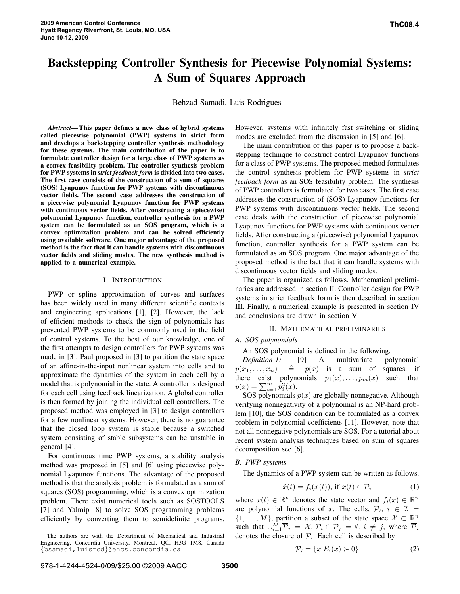# **Backstepping Controller Synthesis for Piecewise Polynomial Systems: A Sum of Squares Approach**

Behzad Samadi, Luis Rodrigues

*Abstract***—This paper defines a new class of hybrid systems called piecewise polynomial (PWP) systems in strict form and develops a backstepping controller synthesis methodology for these systems. The main contribution of the paper is to formulate controller design for a large class of PWP systems as a convex feasibility problem. The controller synthesis problem for PWP systems in** *strict feedback form* **is divided into two cases. The first case consists of the construction of a sum of squares (SOS) Lyapunov function for PWP systems with discontinuous vector fields. The second case addresses the construction of a piecewise polynomial Lyapunov function for PWP systems with continuous vector fields. After constructing a (piecewise) polynomial Lyapunov function, controller synthesis for a PWP system can be formulated as an SOS program, which is a convex optimization problem and can be solved efficiently using available software. One major advantage of the proposed method is the fact that it can handle systems with discontinuous vector fields and sliding modes. The new synthesis method is applied to a numerical example.**

### I. INTRODUCTION

PWP or spline approximation of curves and surfaces has been widely used in many different scientific contexts and engineering applications [1], [2]. However, the lack of efficient methods to check the sign of polynomials has prevented PWP systems to be commonly used in the field of control systems. To the best of our knowledge, one of the first attempts to design controllers for PWP systems was made in [3]. Paul proposed in [3] to partition the state space of an affine-in-the-input nonlinear system into cells and to approximate the dynamics of the system in each cell by a model that is polynomial in the state. A controller is designed for each cell using feedback linearization. A global controller is then formed by joining the individual cell controllers. The proposed method was employed in [3] to design controllers for a few nonlinear systems. However, there is no guarantee that the closed loop system is stable because a switched system consisting of stable subsystems can be unstable in general [4].

For continuous time PWP systems, a stability analysis method was proposed in [5] and [6] using piecewise polynomial Lyapunov functions. The advantage of the proposed method is that the analysis problem is formulated as a sum of squares (SOS) programming, which is a convex optimization problem. There exist numerical tools such as SOSTOOLS [7] and Yalmip [8] to solve SOS programming problems efficiently by converting them to semidefinite programs.

The authors are with the Department of Mechanical and Industrial Engineering, Concordia University, Montreal, QC, H3G 1M8, Canada {bsamadi,luisrod}@encs.concordia.ca

**ThC08.4**

However, systems with infinitely fast switching or sliding modes are excluded from the discussion in [5] and [6].

The main contribution of this paper is to propose a backstepping technique to construct control Lyapunov functions for a class of PWP systems. The proposed method formulates the control synthesis problem for PWP systems in *strict feedback form* as an SOS feasibility problem. The synthesis of PWP controllers is formulated for two cases. The first case addresses the construction of (SOS) Lyapunov functions for PWP systems with discontinuous vector fields. The second case deals with the construction of piecewise polynomial Lyapunov functions for PWP systems with continuous vector fields. After constructing a (piecewise) polynomial Lyapunov function, controller synthesis for a PWP system can be formulated as an SOS program. One major advantage of the proposed method is the fact that it can handle systems with discontinuous vector fields and sliding modes.

The paper is organized as follows. Mathematical preliminaries are addressed in section II. Controller design for PWP systems in strict feedback form is then described in section III. Finally, a numerical example is presented in section IV and conclusions are drawn in section V.

## II. MATHEMATICAL PRELIMINARIES

#### *A. SOS polynomials*

An SOS polynomial is defined in the following.

*Definition 1:* [9] A multivariate polynomial  $p(x_1, \ldots, x_n) \triangleq p(x)$  is a sum of squares, if there exist polynomials  $p_1(x), \ldots, p_m(x)$  such that  $p(x) = \sum_{i=1}^{m} p_i^2(x).$ 

SOS polynomials  $p(x)$  are globally nonnegative. Although verifying nonnegativity of a polynomial is an NP-hard problem [10], the SOS condition can be formulated as a convex problem in polynomial coefficients [11]. However, note that not all nonnegative polynomials are SOS. For a tutorial about recent system analysis techniques based on sum of squares decomposition see [6].

# *B. PWP systems*

The dynamics of a PWP system can be written as follows.

$$
\dot{x}(t) = f_i(x(t)), \text{ if } x(t) \in \mathcal{P}_i \tag{1}
$$

where  $x(t) \in \mathbb{R}^n$  denotes the state vector and  $f_i(x) \in \mathbb{R}^n$ are polynomial functions of x. The cells,  $\mathcal{P}_i$ ,  $i \in \mathcal{I}$  =  $\{1, \ldots, M\}$ , partition a subset of the state space  $\mathcal{X} \subset \mathbb{R}^n$ such that  $\cup_{i=1}^M \overline{P}_i = \mathcal{X}, \mathcal{P}_i \cap \mathcal{P}_j = \emptyset, i \neq j$ , where  $\overline{\mathcal{P}}_i$ denotes the closure of  $P_i$ . Each cell is described by

$$
\mathcal{P}_i = \{x | E_i(x) \succ 0\} \tag{2}
$$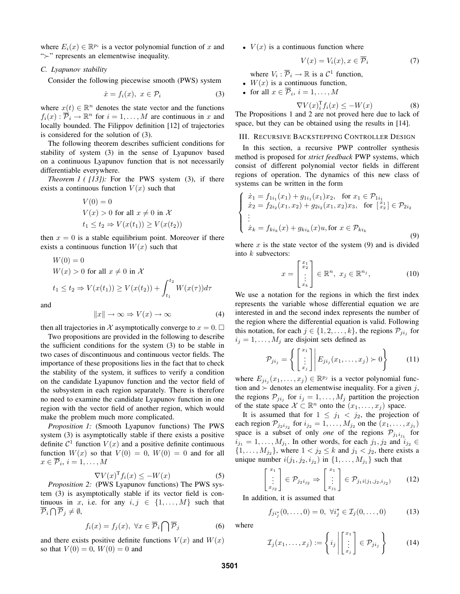where  $E_i(x) \in \mathbb{R}^{p_i}$  is a vector polynomial function of x and "≻" represents an elementwise inequality.

# *C. Lyapunov stability*

Consider the following piecewise smooth (PWS) system

$$
\dot{x} = f_i(x), \ x \in \mathcal{P}_i \tag{3}
$$

where  $x(t) \in \mathbb{R}^n$  denotes the state vector and the functions  $f_i(x)$ :  $\overrightarrow{\mathcal{P}}_i \rightarrow \mathbb{R}^n$  for  $i = 1, ..., M$  are continuous in x and locally bounded. The Filippov definition [12] of trajectories is considered for the solution of (3).

The following theorem describes sufficient conditions for stability of system (3) in the sense of Lyapunov based on a continuous Lyapunov function that is not necessarily differentiable everywhere.

*Theorem 1 ( [13]):* For the PWS system (3), if there exists a continuous function  $V(x)$  such that

$$
V(0) = 0
$$
  
 
$$
V(x) > 0 \text{ for all } x \neq 0 \text{ in } \mathcal{X}
$$
  
 
$$
t_1 \leq t_2 \Rightarrow V(x(t_1)) \geq V(x(t_2))
$$

then  $x = 0$  is a stable equilibrium point. Moreover if there exists a continuous function  $W(x)$  such that

$$
W(0) = 0
$$
  
 
$$
W(x) > 0 \text{ for all } x \neq 0 \text{ in } \mathcal{X}
$$
  
 
$$
t_1 \leq t_2 \Rightarrow V(x(t_1)) \geq V(x(t_2)) + \int_{t_1}^{t_2} W(x(\tau)) d\tau
$$

and

$$
||x|| \to \infty \Rightarrow V(x) \to \infty \tag{4}
$$

then all trajectories in X asymptotically converge to  $x = 0$ .

Two propositions are provided in the following to describe the sufficient conditions for the system (3) to be stable in two cases of discontinuous and continuous vector fields. The importance of these propositions lies in the fact that to check the stability of the system, it suffices to verify a condition on the candidate Lyapunov function and the vector field of the subsystem in each region separately. There is therefore no need to examine the candidate Lyapunov function in one region with the vector field of another region, which would make the problem much more complicated.

*Proposition 1:* (Smooth Lyapunov functions) The PWS system (3) is asymptotically stable if there exists a positive definite  $C^1$  function  $V(x)$  and a positive definite continuous function  $W(x)$  so that  $V(0) = 0$ ,  $W(0) = 0$  and for all  $x \in \mathcal{P}_i$ ,  $i = 1, \ldots, M$ 

$$
\nabla V(x)^{\mathrm{T}} f_i(x) \le -W(x) \tag{5}
$$

*Proposition 2:* (PWS Lyapunov functions) The PWS system (3) is asymptotically stable if its vector field is continuous in x, i.e. for any  $i, j \in \{1, ..., M\}$  such that  $\overline{\mathcal{P}}_i \bigcap \overline{\mathcal{P}}_j \neq \emptyset$ 

$$
f_i(x) = f_j(x), \ \forall x \in \overline{\mathcal{P}}_i \bigcap \overline{\mathcal{P}}_j
$$
 (6)

and there exists positive definite functions  $V(x)$  and  $W(x)$ so that  $V(0) = 0$ ,  $W(0) = 0$  and

•  $V(x)$  is a continuous function where

$$
V(x) = V_i(x), x \in \mathcal{P}_i \tag{7}
$$

where  $V_i : \overline{P}_i \to \mathbb{R}$  is a  $C^1$  function,

- $W(x)$  is a continuous function,
- for all  $x \in \mathcal{P}_i$ ,  $i = 1, \ldots, M$

$$
\nabla V(x)_i^{\mathrm{T}} f_i(x) \le -W(x) \tag{8}
$$

The Propositions 1 and 2 are not proved here due to lack of space, but they can be obtained using the results in [14].

III. RECURSIVE BACKSTEPPING CONTROLLER DESIGN

In this section, a recursive PWP controller synthesis method is proposed for *strict feedback* PWP systems, which consist of different polynomial vector fields in different regions of operation. The dynamics of this new class of systems can be written in the form

$$
\begin{cases}\n\dot{x}_1 = f_{1i_1}(x_1) + g_{1i_1}(x_1)x_2, & \text{for } x_1 \in \mathcal{P}_{1i_1} \\
\dot{x}_2 = f_{2i_2}(x_1, x_2) + g_{2i_2}(x_1, x_2)x_3, & \text{for } \begin{bmatrix} x_1 \\ x_2 \end{bmatrix} \in \mathcal{P}_{2i_2} \\
\vdots \\
\dot{x}_k = f_{ki_k}(x) + g_{ki_k}(x)u, & \text{for } x \in \mathcal{P}_{ki_k}\n\end{cases}
$$
\n(9)

where  $x$  is the state vector of the system (9) and is divided into  $k$  subvectors:

$$
x = \begin{bmatrix} x_1 \\ x_2 \\ \vdots \\ x_k \end{bmatrix} \in \mathbb{R}^n, \ x_j \in \mathbb{R}^{n_j}, \tag{10}
$$

We use a notation for the regions in which the first index represents the variable whose differential equation we are interested in and the second index represents the number of the region where the differential equation is valid. Following this notation, for each  $j \in \{1, 2, \ldots, k\}$ , the regions  $\mathcal{P}_{ji_j}$  for  $i_j = 1, \ldots, M_j$  are disjoint sets defined as

$$
\mathcal{P}_{ji_j} = \left\{ \begin{bmatrix} x_1 \\ \vdots \\ x_j \end{bmatrix} \middle| E_{ji_j}(x_1, \dots, x_j) \succ 0 \right\} \tag{11}
$$

where  $E_{ji_j}(x_1,\ldots,x_j) \in \mathbb{R}^{p_j}$  is a vector polynomial function and  $\succ$  denotes an elementwise inequality. For a given j, the regions  $\mathcal{P}_{ji_j}$  for  $i_j = 1, \ldots, M_j$  partition the projection of the state space  $\mathcal{X} \subset \mathbb{R}^n$  onto the  $(x_1, \ldots, x_j)$  space.

It is assumed that for  $1 \leq j_1 < j_2$ , the projection of each region  $\mathcal{P}_{j_2 i_{j_2}}$  for  $i_{j_2} = 1, \ldots, M_{j_2}$  on the  $(x_1, \ldots, x_{j_1})$ space is a subset of only *one* of the regions  $P_{j_1 i_{j_1}}$  for  $i_{j_1} = 1, \ldots, M_{j_1}$ . In other words, for each  $j_1, j_2$  and  $i_{j_2} \in$  $\{1, \ldots, M_{j_2}\}\$ , where  $1 < j_2 \leq k$  and  $j_1 < j_2$ , there exists a unique number  $i(j_1, j_2, i_{j_2})$  in  $\{1, \ldots, M_{j_1}\}\$  such that

$$
\begin{bmatrix} x_1 \\ \vdots \\ x_{j_2} \end{bmatrix} \in \mathcal{P}_{j_2 i_{j_2}} \Rightarrow \begin{bmatrix} x_1 \\ \vdots \\ x_{j_1} \end{bmatrix} \in \mathcal{P}_{j_1 i(j_1, j_2, i_{j_2})} \tag{12}
$$

In addition, it is assumed that

$$
f_{ji_j^*}(0,\ldots,0) = 0, \ \forall i_j^* \in \mathcal{I}_j(0,\ldots,0) \tag{13}
$$

where

$$
\mathcal{I}_j(x_1,\ldots,x_j) := \left\{ i_j \left| \begin{bmatrix} x_1 \\ \vdots \\ x_j \end{bmatrix} \in \mathcal{P}_{ji_j} \right. \right\} \tag{14}
$$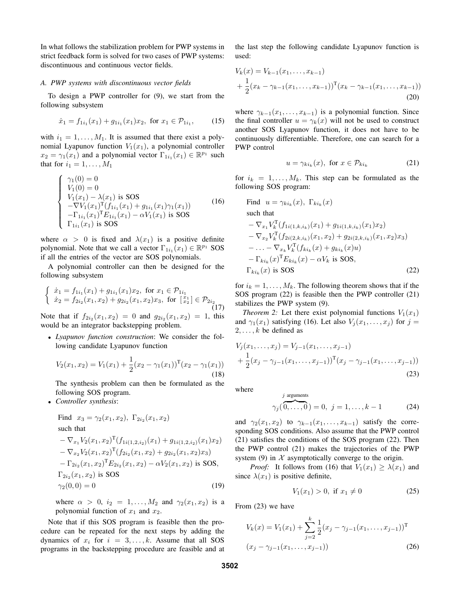In what follows the stabilization problem for PWP systems in strict feedback form is solved for two cases of PWP systems: discontinuous and continuous vector fields.

## *A. PWP systems with discontinuous vector fields*

To design a PWP controller for (9), we start from the following subsystem

$$
\dot{x}_1 = f_{1i_1}(x_1) + g_{1i_1}(x_1)x_2, \text{ for } x_1 \in \mathcal{P}_{1i_1},\tag{15}
$$

with  $i_1 = 1, \ldots, M_1$ . It is assumed that there exist a polynomial Lyapunov function  $V_1(x_1)$ , a polynomial controller  $x_2 = \gamma_1(x_1)$  and a polynomial vector  $\Gamma_{1i_1}(x_1) \in \mathbb{R}^{p_1}$  such that for  $i_1 = 1, \ldots, M_1$ 

$$
\begin{cases}\n\gamma_1(0) = 0 \\
V_1(0) = 0 \\
V_1(x_1) - \lambda(x_1) \text{ is SOS} \\
-\nabla V_1(x_1)^T (f_{1i_1}(x_1) + g_{1i_1}(x_1)\gamma_1(x_1)) \\
-\Gamma_{1i_1}(x_1)^T E_{1i_1}(x_1) - \alpha V_1(x_1) \text{ is SOS} \\
\Gamma_{1i_1}(x_1) \text{ is SOS}\n\end{cases}
$$
\n(16)

where  $\alpha > 0$  is fixed and  $\lambda(x_1)$  is a positive definite polynomial. Note that we call a vector  $\Gamma_{1i_1}(x_1) \in \mathbb{R}^{p_1}$  SOS if all the entries of the vector are SOS polynomials.

A polynomial controller can then be designed for the following subsystem

$$
\begin{cases} \n\dot{x}_1 = f_{1i_1}(x_1) + g_{1i_1}(x_1)x_2, \text{ for } x_1 \in \mathcal{P}_{1i_1} \\
\dot{x}_2 = f_{2i_2}(x_1, x_2) + g_{2i_2}(x_1, x_2)x_3, \text{ for } \begin{bmatrix} x_1 \\ x_2 \end{bmatrix} \in \mathcal{P}_{2i_2} \\
\text{(17)}\n\end{cases}
$$

Note that if  $f_{2i_2}(x_1, x_2) = 0$  and  $g_{2i_2}(x_1, x_2) = 1$ , this would be an integrator backstepping problem.

• *Lyapunov function construction*: We consider the following candidate Lyapunov function

$$
V_2(x_1, x_2) = V_1(x_1) + \frac{1}{2}(x_2 - \gamma_1(x_1))^{\mathrm{T}}(x_2 - \gamma_1(x_1))
$$
\n(18)

The synthesis problem can then be formulated as the following SOS program.

• *Controller synthesis*:

Find 
$$
x_3 = \gamma_2(x_1, x_2)
$$
,  $\Gamma_{2i_2}(x_1, x_2)$   
such that  

$$
-\nabla_{x_1} V_2(x_1, x_2)^T (f_{1i(1, 2, i_2)}(x_1) + g_{1i(1, 2, i_2)}(x_1) x_2)
$$

$$
-\nabla_{x_2} V_2(x_1, x_2)^T (f_{2i_2}(x_1, x_2) + g_{2i_2}(x_1, x_2) x_3)
$$

$$
-\Gamma_{2i_2}(x_1, x_2)^T E_{2i_2}(x_1, x_2) - \alpha V_2(x_1, x_2)
$$
is SOS,  

$$
\Gamma_{2i_2}(x_1, x_2)
$$
is SOS  

$$
\gamma_2(0, 0) = 0
$$
 (19)

where  $\alpha > 0$ ,  $i_2 = 1, ..., M_2$  and  $\gamma_2(x_1, x_2)$  is a polynomial function of  $x_1$  and  $x_2$ .

Note that if this SOS program is feasible then the procedure can be repeated for the next steps by adding the dynamics of  $x_i$  for  $i = 3, ..., k$ . Assume that all SOS programs in the backstepping procedure are feasible and at the last step the following candidate Lyapunov function is used:

$$
V_k(x) = V_{k-1}(x_1, \dots, x_{k-1})
$$
  
+  $\frac{1}{2}(x_k - \gamma_{k-1}(x_1, \dots, x_{k-1}))^{\text{T}}(x_k - \gamma_{k-1}(x_1, \dots, x_{k-1}))$   
(20)

where  $\gamma_{k-1}(x_1,\ldots,x_{k-1})$  is a polynomial function. Since the final controller  $u = \gamma_k(x)$  will not be used to construct another SOS Lyapunov function, it does not have to be continuously differentiable. Therefore, one can search for a PWP control

$$
u = \gamma_{ki_k}(x), \text{ for } x \in \mathcal{P}_{ki_k} \tag{21}
$$

for  $i_k = 1, \ldots, M_k$ . This step can be formulated as the following SOS program:

Find 
$$
u = \gamma_{k i_k}(x)
$$
,  $\Gamma_{k i_k}(x)$   
\nsuch that  
\n
$$
-\nabla_{x_1} V_k^{\mathrm{T}}(f_{1 i(1,k,i_k)}(x_1) + g_{1 i(1,k,i_k)}(x_1)x_2)
$$
\n
$$
-\nabla_{x_2} V_k^{\mathrm{T}}(f_{2 i(2,k,i_k)}(x_1,x_2) + g_{2 i(2,k,i_k)}(x_1,x_2)x_3)
$$
\n
$$
-\ldots - \nabla_{x_k} V_k^{\mathrm{T}}(f_{k i_k}(x) + g_{k i_k}(x)u)
$$
\n
$$
-\Gamma_{k i_k}(x)^{\mathrm{T}} E_{k i_k}(x) - \alpha V_k \text{ is SOS},
$$
\n(22)

for  $i_k = 1, \ldots, M_k$ . The following theorem shows that if the SOS program (22) is feasible then the PWP controller (21) stabilizes the PWP system (9).

*Theorem* 2: Let there exist polynomial functions  $V_1(x_1)$ and  $\gamma_1(x_1)$  satisfying (16). Let also  $V_j(x_1, \ldots, x_j)$  for  $j =$  $2, \ldots, k$  be defined as

$$
V_j(x_1, \ldots, x_j) = V_{j-1}(x_1, \ldots, x_{j-1})
$$
  
+  $\frac{1}{2}(x_j - \gamma_{j-1}(x_1, \ldots, x_{j-1}))^T (x_j - \gamma_{j-1}(x_1, \ldots, x_{j-1}))$  (23)

where

$$
j
$$
 arguments  
 $\gamma_j(\overbrace{0,\ldots,0}^{j}) = 0, j = 1,\ldots,k-1$  (24)

and  $\gamma_2(x_1, x_2)$  to  $\gamma_{k-1}(x_1, \ldots, x_{k-1})$  satisfy the corresponding SOS conditions. Also assume that the PWP control (21) satisfies the conditions of the SOS program (22). Then the PWP control (21) makes the trajectories of the PWP system (9) in  $X$  asymptotically converge to the origin.

*Proof:* It follows from (16) that  $V_1(x_1) \geq \lambda(x_1)$  and since  $\lambda(x_1)$  is positive definite,

$$
V_1(x_1) > 0, \text{ if } x_1 \neq 0 \tag{25}
$$

From (23) we have

$$
V_k(x) = V_1(x_1) + \sum_{j=2}^k \frac{1}{2} (x_j - \gamma_{j-1}(x_1, \dots, x_{j-1}))^{\mathrm{T}}
$$

$$
(x_j - \gamma_{j-1}(x_1, \dots, x_{j-1}))
$$
(26)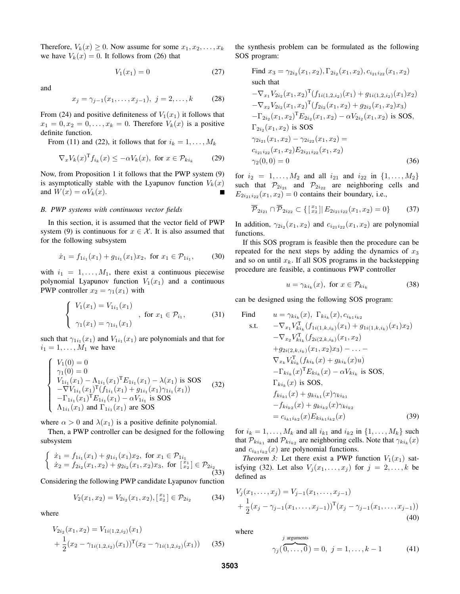Therefore,  $V_k(x) \geq 0$ . Now assume for some  $x_1, x_2, \ldots, x_k$ we have  $V_k(x) = 0$ . It follows from (26) that

$$
V_1(x_1) = 0\tag{27}
$$

and

$$
x_j = \gamma_{j-1}(x_1, \dots, x_{j-1}), \ j = 2, \dots, k \tag{28}
$$

From (24) and positive definiteness of  $V_1(x_1)$  it follows that  $x_1 = 0, x_2 = 0, \ldots, x_k = 0$ . Therefore  $V_k(x)$  is a positive definite function.

From (11) and (22), it follows that for  $i_k = 1, \ldots, M_k$ 

$$
\nabla_x V_k(x)^{\mathrm{T}} f_{i_k}(x) \le -\alpha V_k(x), \text{ for } x \in \mathcal{P}_{k i_k} \tag{29}
$$

Now, from Proposition 1 it follows that the PWP system (9) is asymptotically stable with the Lyapunov function  $V_k(x)$ and  $W(x) = \alpha V_k(x)$ .

# *B. PWP systems with continuous vector fields*

In this section, it is assumed that the vector field of PWP system (9) is continuous for  $x \in \mathcal{X}$ . It is also assumed that for the following subsystem

$$
\dot{x}_1 = f_{1i_1}(x_1) + g_{1i_1}(x_1)x_2, \text{ for } x_1 \in \mathcal{P}_{1i_1}, \quad (30)
$$

with  $i_1 = 1, \ldots, M_1$ , there exist a continuous piecewise polynomial Lyapunov function  $V_1(x_1)$  and a continuous PWP controller  $x_2 = \gamma_1(x_1)$  with

$$
\begin{cases}\nV_1(x_1) = V_{1i_1}(x_1) \\
\gamma_1(x_1) = \gamma_{1i_1}(x_1)\n\end{cases}, \text{ for } x_1 \in \mathcal{P}_{i_1},
$$
\n(31)

such that  $\gamma_{1i_1}(x_1)$  and  $V_{1i_1}(x_1)$  are polynomials and that for  $i_1 = 1, \ldots, M_1$  we have

$$
\begin{cases}\nV_1(0) = 0 \\
\gamma_1(0) = 0 \\
V_{1i_1}(x_1) - \Lambda_{1i_1}(x_1)^{\mathrm{T}} E_{1i_1}(x_1) - \lambda(x_1) \text{ is SOS} \\
-\nabla V_{1i_1}(x_1)^{\mathrm{T}} (f_{1i_1}(x_1) + g_{1i_1}(x_1)\gamma_{1i_1}(x_1)) \\
-\Gamma_{1i_1}(x_1)^{\mathrm{T}} E_{1i_1}(x_1) - \alpha V_{1i_1} \text{ is SOS} \\
\Lambda_{1i_1}(x_1) \text{ and } \Gamma_{1i_1}(x_1) \text{ are SOS}\n\end{cases} \tag{32}
$$

where  $\alpha > 0$  and  $\lambda(x_1)$  is a positive definite polynomial.

Then, a PWP controller can be designed for the following subsystem

$$
\begin{cases} \n\dot{x}_1 = f_{1i_1}(x_1) + g_{1i_1}(x_1)x_2, \text{ for } x_1 \in \mathcal{P}_{1i_1} \\
\dot{x}_2 = f_{2i_2}(x_1, x_2) + g_{2i_2}(x_1, x_2)x_3, \text{ for } \begin{bmatrix} x_1 \\ x_2 \end{bmatrix} \in \mathcal{P}_{2i_2} \\
\end{cases} (33)
$$

Considering the following PWP candidate Lyapunov function

$$
V_2(x_1, x_2) = V_{2i_2}(x_1, x_2), \begin{bmatrix} x_1 \\ x_2 \end{bmatrix} \in \mathcal{P}_{2i_2} \tag{34}
$$

where

$$
V_{2i_2}(x_1, x_2) = V_{1i(1, 2, i_2)}(x_1)
$$
  
+ 
$$
\frac{1}{2}(x_2 - \gamma_{1i(1, 2, i_2)}(x_1))^T (x_2 - \gamma_{1i(1, 2, i_2)}(x_1))
$$
 (35)

the synthesis problem can be formulated as the following SOS program:

Find 
$$
x_3 = \gamma_{2i_2}(x_1, x_2), \Gamma_{2i_2}(x_1, x_2), c_{i_{21}i_{22}}(x_1, x_2)
$$
  
\nsuch that  
\n
$$
-\nabla_{x_1} V_{2i_2}(x_1, x_2)^T (f_{1i(1,2,i_2)}(x_1) + g_{1i(1,2,i_2)}(x_1)x_2)
$$
\n
$$
-\nabla_{x_2} V_{2i_2}(x_1, x_2)^T (f_{2i_2}(x_1, x_2) + g_{2i_2}(x_1, x_2)x_3)
$$
\n
$$
-\Gamma_{2i_2}(x_1, x_2)^T E_{2i_2}(x_1, x_2) - \alpha V_{2i_2}(x_1, x_2)
$$
 is SOS,  
\n
$$
\Gamma_{2i_2}(x_1, x_2)
$$
 is SOS  
\n
$$
\gamma_{2i_{21}}(x_1, x_2) - \gamma_{2i_{22}}(x_1, x_2) =
$$
  
\n
$$
c_{i_{21}i_{22}}(x_1, x_2) E_{2i_{21}i_{22}}(x_1, x_2)
$$
  
\n
$$
\gamma_2(0, 0) = 0
$$
\n(36)

for  $i_2 = 1, ..., M_2$  and all  $i_{21}$  and  $i_{22}$  in  $\{1, ..., M_2\}$ such that  $\mathcal{P}_{2i_{21}}$  and  $\mathcal{P}_{2i_{22}}$  are neighboring cells and  $E_{2i_2i_1i_2i_2}(x_1, x_2) = 0$  contains their boundary, i.e.,

$$
\overline{\mathcal{P}}_{2i_{21}} \cap \overline{\mathcal{P}}_{2i_{22}} \subset \{ [\, z_1 \, ] \, | \, E_{2i_{21}i_{22}}(x_1, x_2) = 0 \} \tag{37}
$$

In addition,  $\gamma_{2i_2}(x_1, x_2)$  and  $c_{i_{21}i_{22}}(x_1, x_2)$  are polynomial functions.

If this SOS program is feasible then the procedure can be repeated for the next steps by adding the dynamics of  $x_3$ and so on until  $x_k$ . If all SOS programs in the backstepping procedure are feasible, a continuous PWP controller

$$
u = \gamma_{ki_k}(x), \text{ for } x \in \mathcal{P}_{ki_k} \tag{38}
$$

can be designed using the following SOS program:

Find 
$$
u = \gamma_{ki_k}(x), \Gamma_{ki_k}(x), c_{i_{k1}i_{k2}}
$$
  
s.t. 
$$
-\nabla_{x_1} V_{ki_k}^{\mathrm{T}} (f_{1i(1,k,i_k)}(x_1) + g_{1i(1,k,i_k)}(x_1)x_2)
$$

$$
-\nabla_{x_2} V_{ki_k}^{\mathrm{T}} (f_{2i(2,k,i_k)}(x_1, x_2)
$$

$$
+ g_{2i(2,k,i_k)}(x_1, x_2)x_3) - \dots -
$$

$$
\nabla_{x_k} V_{ki_k}^{\mathrm{T}} (f_{ki_k}(x) + g_{ki_k}(x)u)
$$

$$
-\Gamma_{ki_k}(x)^\mathrm{T} E_{ki_k}(x) - \alpha V_{ki_k} \text{ is SOS,}
$$

$$
\Gamma_{ki_k}(x) \text{ is SOS,}
$$

$$
f_{ki_{k1}}(x) + g_{ki_{k1}}(x)\gamma_{ki_{k1}}
$$

$$
-f_{ki_{k2}}(x) + g_{ki_{k2}}(x)\gamma_{ki_{k2}}
$$

$$
= c_{i_{k1}i_{k2}}(x) E_{ki_ki_{k2}}(x) \qquad (39)
$$

for  $i_k = 1, \ldots, M_k$  and all  $i_{k1}$  and  $i_{k2}$  in  $\{1, \ldots, M_k\}$  such that  $\mathcal{P}_{ki_{k1}}$  and  $\mathcal{P}_{ki_{k2}}$  are neighboring cells. Note that  $\gamma_{ki_k}(x)$ and  $c_{i_{k1}i_{k2}}(x)$  are polynomial functions.

*Theorem 3:* Let there exist a PWP function  $V_1(x_1)$  satisfying (32). Let also  $V_i(x_1, \ldots, x_j)$  for  $j = 2, \ldots, k$  be defined as

$$
V_j(x_1,...,x_j) = V_{j-1}(x_1,...,x_{j-1})
$$
  
+  $\frac{1}{2}(x_j - \gamma_{j-1}(x_1,...,x_{j-1}))^T(x_j - \gamma_{j-1}(x_1,...,x_{j-1}))$   
(40)

 $j$  arguments

where

$$
\gamma_j(\overbrace{0,\ldots,0}^{s}) = 0, \ j = 1,\ldots,k-1
$$
 (41)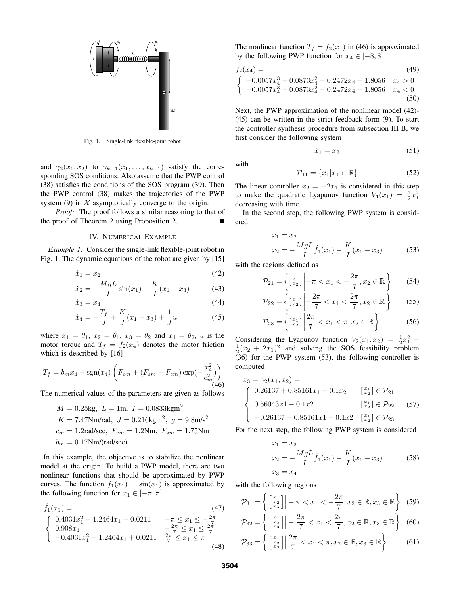

Fig. 1. Single-link flexible-joint robot

and  $\gamma_2(x_1, x_2)$  to  $\gamma_{k-1}(x_1, \ldots, x_{k-1})$  satisfy the corresponding SOS conditions. Also assume that the PWP control (38) satisfies the conditions of the SOS program (39). Then the PWP control (38) makes the trajectories of the PWP system (9) in  $X$  asymptotically converge to the origin.

*Proof:* The proof follows a similar reasoning to that of the proof of Theorem 2 using Proposition 2.

## IV. NUMERICAL EXAMPLE

*Example 1:* Consider the single-link flexible-joint robot in Fig. 1. The dynamic equations of the robot are given by [15]

$$
\dot{x}_1 = x_2 \tag{42}
$$

$$
\dot{x}_2 = -\frac{MgL}{I}\sin(x_1) - \frac{K}{I}(x_1 - x_3)
$$
\n(43)

$$
\dot{x}_3 = x_4 \tag{44}
$$

$$
\dot{x}_4 = -\frac{T_f}{J} + \frac{K}{J}(x_1 - x_3) + \frac{1}{J}u\tag{45}
$$

where  $x_1 = \theta_1$ ,  $x_2 = \dot{\theta}_1$ ,  $x_3 = \theta_2$  and  $x_4 = \dot{\theta}_2$ , u is the motor torque and  $T_f = f_2(x_4)$  denotes the motor friction which is described by [16]

$$
T_f = b_m x_4 + \text{sgn}(x_4) \left( F_{cm} + (F_{sm} - F_{cm}) \exp(-\frac{x_4^2}{c_m^2}) \right)
$$

The numerical values of the parameters are given as follows

$$
M = 0.25 \text{kg}, L = 1 \text{m}, I = 0.0833 \text{kgm}^2
$$
  
\n
$$
K = 7.47 \text{Nm/rad}, J = 0.216 \text{kgm}^2, g = 9.8 \text{m/s}^2
$$
  
\n
$$
c_m = 1.2 \text{rad/sec}, F_{cm} = 1.2 \text{Nm}, F_{sm} = 1.75 \text{Nm}
$$
  
\n
$$
b_m = 0.17 \text{Nm/rad/sec}
$$

In this example, the objective is to stabilize the nonlinear model at the origin. To build a PWP model, there are two nonlinear functions that should be approximated by PWP curves. The function  $f_1(x_1) = \sin(x_1)$  is approximated by the following function for  $x_1 \in [-\pi, \pi]$ 

$$
\hat{f}_1(x_1) = \n\begin{cases}\n0.4031x_1^2 + 1.2464x_1 - 0.0211 & -\pi \le x_1 \le -\frac{2\pi}{7} \\
0.908x_1 & -\frac{2\pi}{7} \le x_1 \le \frac{2\pi}{7} \\
-0.4031x_1^2 + 1.2464x_1 + 0.0211 & \frac{2\pi}{7} \le x_1 \le \pi\n\end{cases} \tag{48}
$$

The nonlinear function  $T_f = f_2(x_4)$  in (46) is approximated by the following PWP function for  $x_4 \in [-8, 8]$ 

$$
\hat{f}_2(x_4) = \n\begin{cases}\n-0.0057x_4^3 + 0.0873x_4^2 - 0.2472x_4 + 1.8056 & x_4 > 0 \\
-0.0057x_4^3 - 0.0873x_4^2 - 0.2472x_4 - 1.8056 & x_4 < 0 \\
\text{(50)}\n\end{cases}
$$

Next, the PWP approximation of the nonlinear model (42)- (45) can be written in the strict feedback form (9). To start the controller synthesis procedure from subsection III-B, we first consider the following system

with

$$
\mathcal{P}_{11} = \{x_1 | x_1 \in \mathbb{R}\}\tag{52}
$$

 $\dot{x}_1 = x_2$  (51)

The linear controller  $x_2 = -2x_1$  is considered in this step to make the quadratic Lyapunov function  $V_1(x_1) = \frac{1}{2}x_1^2$ decreasing with time.

In the second step, the following PWP system is considered

$$
\dot{x}_1 = x_2
$$
  
\n
$$
\dot{x}_2 = -\frac{MgL}{I}\hat{f}_1(x_1) - \frac{K}{I}(x_1 - x_3)
$$
\n(53)

with the regions defined as

$$
\mathcal{P}_{21} = \left\{ \begin{bmatrix} x_1 \\ x_2 \end{bmatrix} \middle| -\pi < x_1 < -\frac{2\pi}{7}, x_2 \in \mathbb{R} \right\} \tag{54}
$$

$$
\mathcal{P}_{22} = \left\{ \begin{bmatrix} x_1 \\ x_2 \end{bmatrix} \middle| -\frac{2\pi}{7} < x_1 < \frac{2\pi}{7}, x_2 \in \mathbb{R} \right\} \tag{55}
$$

$$
\mathcal{P}_{23} = \left\{ \begin{bmatrix} x_1 \\ x_2 \end{bmatrix} \middle| \frac{2\pi}{7} < x_1 < \pi, x_2 \in \mathbb{R} \right\} \tag{56}
$$

Considering the Lyapunov function  $V_2(x_1, x_2) = \frac{1}{2}x_1^2 + \frac{1}{2}(x_2 + 2x_1)^2$  and solving the SOS feasibility problem  $(36)$  for the PWP system  $(53)$ , the following controller is computed

$$
x_3 = \gamma_2(x_1, x_2) =
$$
\n
$$
\begin{cases}\n0.26137 + 0.85161x_1 - 0.1x_2 & \begin{bmatrix} x_1 \\ x_2 \end{bmatrix} \in \mathcal{P}_{21} \\
0.56043x_1 - 0.1x_2 & \begin{bmatrix} x_1 \\ x_2 \end{bmatrix} \in \mathcal{P}_{22} \\
-0.26137 + 0.85161x_1 - 0.1x_2 & \begin{bmatrix} x_1 \\ x_2 \end{bmatrix} \in \mathcal{P}_{23}\n\end{cases}
$$
\n(57)

For the next step, the following PWP system is considered

$$
\dot{x}_1 = x_2
$$
  
\n
$$
\dot{x}_2 = -\frac{MgL}{I}\hat{f}_1(x_1) - \frac{K}{I}(x_1 - x_3)
$$
\n(58)  
\n
$$
\dot{x}_3 = x_4
$$

with the following regions

$$
\mathcal{P}_{31} = \left\{ \begin{bmatrix} x_1 \\ x_2 \\ x_3 \end{bmatrix} \middle| -\pi < x_1 < -\frac{2\pi}{7}, x_2 \in \mathbb{R}, x_3 \in \mathbb{R} \right\} \tag{59}
$$

$$
\mathcal{P}_{32} = \left\{ \begin{bmatrix} x_1 \\ x_2 \\ x_3 \end{bmatrix} \middle| -\frac{2\pi}{7} < x_1 < \frac{2\pi}{7}, x_2 \in \mathbb{R}, x_3 \in \mathbb{R} \right\} \tag{60}
$$

$$
\mathcal{P}_{33} = \left\{ \left[ \begin{array}{c} x_1 \\ x_2 \\ x_3 \end{array} \right] \middle| \frac{2\pi}{7} < x_1 < \pi, x_2 \in \mathbb{R}, x_3 \in \mathbb{R} \right\} \tag{61}
$$